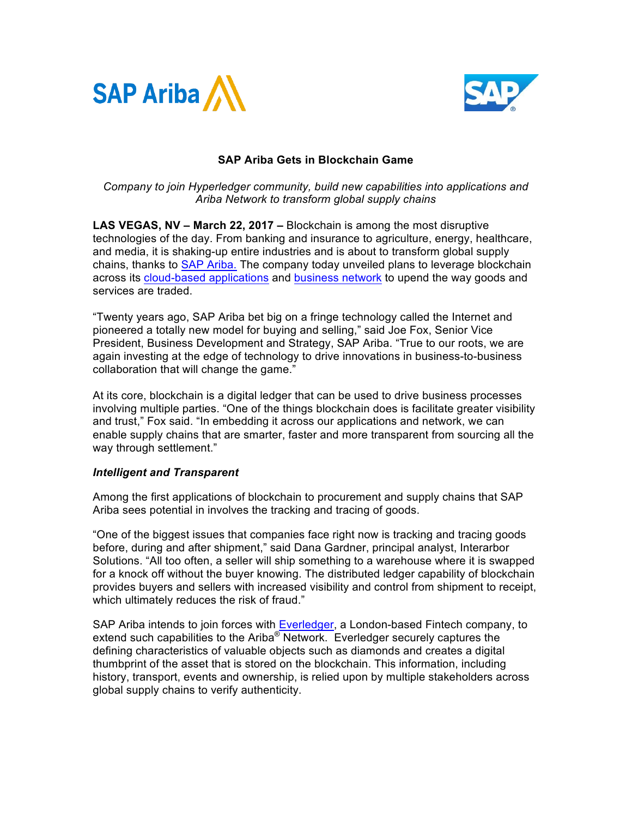



# **SAP Ariba Gets in Blockchain Game**

*Company to join Hyperledger community, build new capabilities into applications and Ariba Network to transform global supply chains* 

**LAS VEGAS, NV – March 22, 2017 –** Blockchain is among the most disruptive technologies of the day. From banking and insurance to agriculture, energy, healthcare, and media, it is shaking-up entire industries and is about to transform global supply chains, thanks to SAP Ariba. The company today unveiled plans to leverage blockchain across its cloud-based applications and business network to upend the way goods and services are traded.

"Twenty years ago, SAP Ariba bet big on a fringe technology called the Internet and pioneered a totally new model for buying and selling," said Joe Fox, Senior Vice President, Business Development and Strategy, SAP Ariba. "True to our roots, we are again investing at the edge of technology to drive innovations in business-to-business collaboration that will change the game."

At its core, blockchain is a digital ledger that can be used to drive business processes involving multiple parties. "One of the things blockchain does is facilitate greater visibility and trust," Fox said. "In embedding it across our applications and network, we can enable supply chains that are smarter, faster and more transparent from sourcing all the way through settlement."

## *Intelligent and Transparent*

Among the first applications of blockchain to procurement and supply chains that SAP Ariba sees potential in involves the tracking and tracing of goods.

"One of the biggest issues that companies face right now is tracking and tracing goods before, during and after shipment," said Dana Gardner, principal analyst, Interarbor Solutions. "All too often, a seller will ship something to a warehouse where it is swapped for a knock off without the buyer knowing. The distributed ledger capability of blockchain provides buyers and sellers with increased visibility and control from shipment to receipt, which ultimately reduces the risk of fraud."

SAP Ariba intends to join forces with **Everledger**, a London-based Fintech company, to extend such capabilities to the Ariba<sup>®</sup> Network. Everledger securely captures the defining characteristics of valuable objects such as diamonds and creates a digital thumbprint of the asset that is stored on the blockchain. This information, including history, transport, events and ownership, is relied upon by multiple stakeholders across global supply chains to verify authenticity.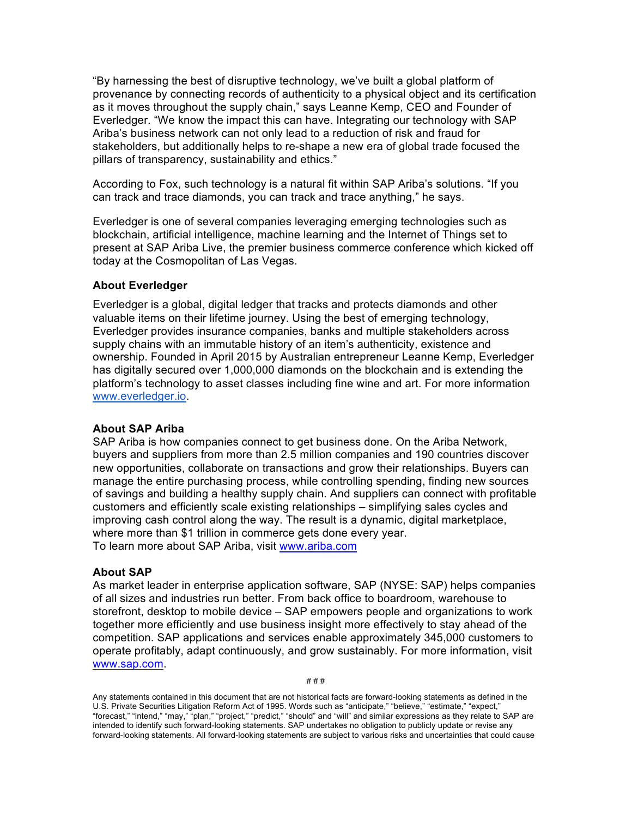"By harnessing the best of disruptive technology, we've built a global platform of provenance by connecting records of authenticity to a physical object and its certification as it moves throughout the supply chain," says Leanne Kemp, CEO and Founder of Everledger. "We know the impact this can have. Integrating our technology with SAP Ariba's business network can not only lead to a reduction of risk and fraud for stakeholders, but additionally helps to re-shape a new era of global trade focused the pillars of transparency, sustainability and ethics."

According to Fox, such technology is a natural fit within SAP Ariba's solutions. "If you can track and trace diamonds, you can track and trace anything," he says.

Everledger is one of several companies leveraging emerging technologies such as blockchain, artificial intelligence, machine learning and the Internet of Things set to present at SAP Ariba Live, the premier business commerce conference which kicked off today at the Cosmopolitan of Las Vegas.

## **About Everledger**

Everledger is a global, digital ledger that tracks and protects diamonds and other valuable items on their lifetime journey. Using the best of emerging technology, Everledger provides insurance companies, banks and multiple stakeholders across supply chains with an immutable history of an item's authenticity, existence and ownership. Founded in April 2015 by Australian entrepreneur Leanne Kemp, Everledger has digitally secured over 1,000,000 diamonds on the blockchain and is extending the platform's technology to asset classes including fine wine and art. For more information www.everledger.io.

### **About SAP Ariba**

SAP Ariba is how companies connect to get business done. On the Ariba Network, buyers and suppliers from more than 2.5 million companies and 190 countries discover new opportunities, collaborate on transactions and grow their relationships. Buyers can manage the entire purchasing process, while controlling spending, finding new sources of savings and building a healthy supply chain. And suppliers can connect with profitable customers and efficiently scale existing relationships – simplifying sales cycles and improving cash control along the way. The result is a dynamic, digital marketplace, where more than \$1 trillion in commerce gets done every year. To learn more about SAP Ariba, visit www.ariba.com

### **About SAP**

As market leader in enterprise application software, SAP (NYSE: SAP) helps companies of all sizes and industries run better. From back office to boardroom, warehouse to storefront, desktop to mobile device – SAP empowers people and organizations to work together more efficiently and use business insight more effectively to stay ahead of the competition. SAP applications and services enable approximately 345,000 customers to operate profitably, adapt continuously, and grow sustainably. For more information, visit www.sap.com.

# # #

Any statements contained in this document that are not historical facts are forward-looking statements as defined in the U.S. Private Securities Litigation Reform Act of 1995. Words such as "anticipate," "believe," "estimate," "expect," "forecast," "intend," "may," "plan," "project," "predict," "should" and "will" and similar expressions as they relate to SAP are intended to identify such forward-looking statements. SAP undertakes no obligation to publicly update or revise any forward-looking statements. All forward-looking statements are subject to various risks and uncertainties that could cause